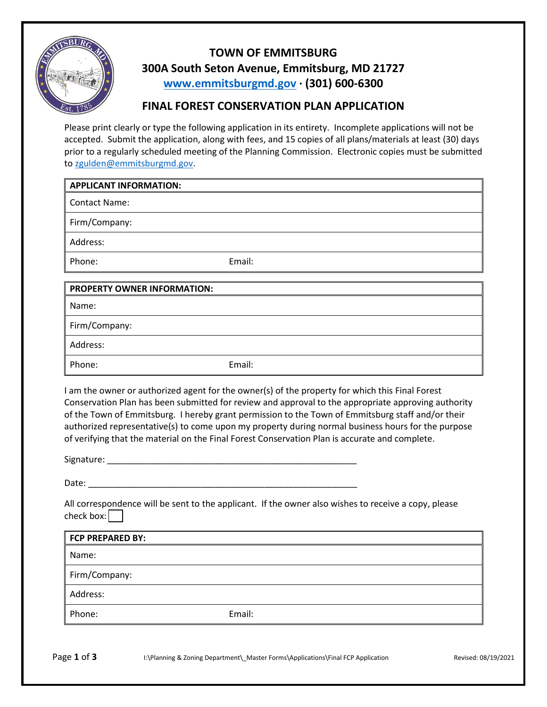

## **TOWN OF EMMITSBURG 300A South Seton Avenue, Emmitsburg, MD 21727 [www.emmitsburgmd.gov](http://www.emmitsburgmd.gov/) · (301) 600-6300**

## **FINAL FOREST CONSERVATION PLAN APPLICATION**

Please print clearly or type the following application in its entirety. Incomplete applications will not be accepted. Submit the application, along with fees, and 15 copies of all plans/materials at least (30) days prior to a regularly scheduled meeting of the Planning Commission. Electronic copies must be submitted to [zgulden@emmitsburgmd.gov.](mailto:zgulden@emmitsburgmd.gov)

## **APPLICANT INFORMATION:**

Contact Name:

Firm/Company:

Address:

Phone: Email:

| <b>PROPERTY OWNER INFORMATION:</b> |        |  |
|------------------------------------|--------|--|
| Name:                              |        |  |
| Firm/Company:                      |        |  |
| Address:                           |        |  |
| Phone:                             | Email: |  |

I am the owner or authorized agent for the owner(s) of the property for which this Final Forest Conservation Plan has been submitted for review and approval to the appropriate approving authority of the Town of Emmitsburg. I hereby grant permission to the Town of Emmitsburg staff and/or their authorized representative(s) to come upon my property during normal business hours for the purpose of verifying that the material on the Final Forest Conservation Plan is accurate and complete.

Signature: \_\_\_\_\_\_\_\_\_\_\_\_\_\_\_\_\_\_\_\_\_\_\_\_\_\_\_\_\_\_\_\_\_\_\_\_\_\_\_\_\_\_\_\_\_\_\_\_\_\_\_

Date:  $\Box$ 

All correspondence will be sent to the applicant. If the owner also wishes to receive a copy, please check box: $\boxed{\phantom{a}}$ 

| Email: |
|--------|
|        |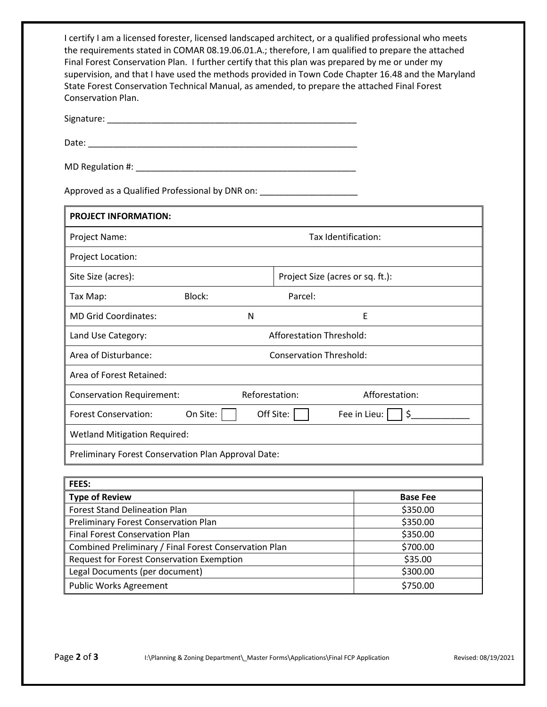| I certify I am a licensed forester, licensed landscaped architect, or a qualified professional who meets |
|----------------------------------------------------------------------------------------------------------|
| the requirements stated in COMAR 08.19.06.01.A.; therefore, I am qualified to prepare the attached       |
| Final Forest Conservation Plan. I further certify that this plan was prepared by me or under my          |
| supervision, and that I have used the methods provided in Town Code Chapter 16.48 and the Maryland       |
| State Forest Conservation Technical Manual, as amended, to prepare the attached Final Forest             |
| Conservation Plan.                                                                                       |

Signature: \_\_\_\_\_\_\_\_\_\_\_\_\_\_\_\_\_\_\_\_\_\_\_\_\_\_\_\_\_\_\_\_\_\_\_\_\_\_\_\_\_\_\_\_\_\_\_\_\_\_\_

Date: \_\_\_\_\_\_\_\_\_\_\_\_\_\_\_\_\_\_\_\_\_\_\_\_\_\_\_\_\_\_\_\_\_\_\_\_\_\_\_\_\_\_\_\_\_\_\_\_\_\_\_\_\_\_\_

MD Regulation #: \_\_\_\_\_\_\_\_\_\_\_\_\_\_\_\_\_\_\_\_\_\_\_\_\_\_\_\_\_\_\_\_\_\_\_\_\_\_\_\_\_\_\_\_\_

Approved as a Qualified Professional by DNR on: \_\_\_\_\_\_\_\_\_\_\_\_\_\_\_\_\_\_\_\_\_\_\_\_\_\_\_\_\_\_\_\_

| <b>PROJECT INFORMATION:</b>                         |                                |                |                                  |                    |  |
|-----------------------------------------------------|--------------------------------|----------------|----------------------------------|--------------------|--|
| Project Name:                                       | Tax Identification:            |                |                                  |                    |  |
| Project Location:                                   |                                |                |                                  |                    |  |
| Site Size (acres):                                  |                                |                | Project Size (acres or sq. ft.): |                    |  |
| Tax Map:                                            | Block:<br>Parcel:              |                |                                  |                    |  |
| <b>MD Grid Coordinates:</b>                         |                                | N              |                                  | E                  |  |
| Land Use Category:                                  | Afforestation Threshold:       |                |                                  |                    |  |
| Area of Disturbance:                                | <b>Conservation Threshold:</b> |                |                                  |                    |  |
| Area of Forest Retained:                            |                                |                |                                  |                    |  |
| <b>Conservation Requirement:</b>                    |                                | Reforestation: |                                  | Afforestation:     |  |
| <b>Forest Conservation:</b>                         | On Site:                       |                | Off Site:                        | \$<br>Fee in Lieu: |  |
| <b>Wetland Mitigation Required:</b>                 |                                |                |                                  |                    |  |
| Preliminary Forest Conservation Plan Approval Date: |                                |                |                                  |                    |  |

| <b>FEES:</b>                                          |                 |
|-------------------------------------------------------|-----------------|
| <b>Type of Review</b>                                 | <b>Base Fee</b> |
| <b>Forest Stand Delineation Plan</b>                  | \$350.00        |
| Preliminary Forest Conservation Plan                  | \$350.00        |
| <b>Final Forest Conservation Plan</b>                 | \$350.00        |
| Combined Preliminary / Final Forest Conservation Plan | \$700.00        |
| <b>Request for Forest Conservation Exemption</b>      | \$35.00         |
| Legal Documents (per document)                        | \$300.00        |
| <b>Public Works Agreement</b>                         | \$750.00        |